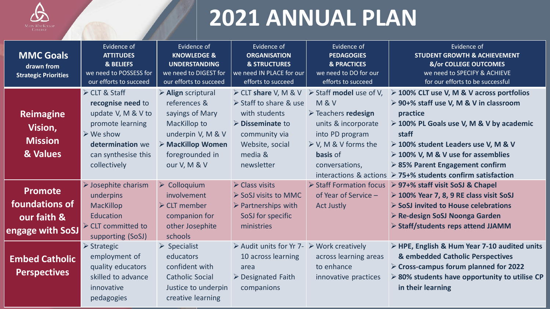

## **2021 ANNUAL PLAN**

| <b>MMC Goals</b><br>drawn from<br><b>Strategic Priorities</b>              | Evidence of<br><b>ATTITUDES</b><br>& BELIEFS<br>we need to POSSESS for<br>our efforts to succeed                                                                    | Evidence of<br><b>KNOWLEDGE &amp;</b><br><b>UNDERSTANDING</b><br>we need to DIGEST for<br>our efforts to succeed                                                                        | Evidence of<br><b>ORGANISATION</b><br><b>&amp; STRUCTURES</b><br>we need IN PLACE for our<br>efforts to succeed                                          | Evidence of<br><b>PEDAGOGIES</b><br><b>&amp; PRACTICES</b><br>we need to DO for our<br>efforts to succeed                                                                                                                                                | Evidence of<br><b>STUDENT GROWTH &amp; ACHIEVEMENT</b><br><b>&amp;/or COLLEGE OUTCOMES</b><br>we need to SPECIFY & ACHIEVE<br>for our efforts to be successful                                                                                                                                                                                                                   |
|----------------------------------------------------------------------------|---------------------------------------------------------------------------------------------------------------------------------------------------------------------|-----------------------------------------------------------------------------------------------------------------------------------------------------------------------------------------|----------------------------------------------------------------------------------------------------------------------------------------------------------|----------------------------------------------------------------------------------------------------------------------------------------------------------------------------------------------------------------------------------------------------------|----------------------------------------------------------------------------------------------------------------------------------------------------------------------------------------------------------------------------------------------------------------------------------------------------------------------------------------------------------------------------------|
| <b>Reimagine</b><br>Vision,<br><b>Mission</b><br>& Values                  | ≻ CLT & Staff<br>recognise need to<br>update V, M & V to<br>promote learning<br>$\triangleright$ We show<br>determination we<br>can synthesise this<br>collectively | $\triangleright$ Align scriptural<br>references &<br>sayings of Mary<br><b>MacKillop to</b><br>underpin V, M & V<br>$\triangleright$ MacKillop Women<br>foregrounded in<br>our V, M & V | Staff to share & use<br>with students<br>$\triangleright$ Disseminate to<br>community via<br>Website, social<br>media &<br>newsletter                    | $\triangleright$ CLT share V, M & V $\triangleright$ Staff model use of V,<br><b>M&amp;V</b><br>$\triangleright$ Teachers redesign<br>units & incorporate<br>into PD program<br>$\triangleright$ V, M & V forms the<br><b>basis</b> of<br>conversations, | $\geq$ 100% CLT use V, M & V across portfolios<br>≻ 90+% staff use V, M & V in classroom<br>practice<br>> 100% PL Goals use V, M & V by academic<br>staff<br>$\geq$ 100% student Leaders use V, M & V<br>$\triangleright$ 100% V, M & V use for assemblies<br>$\geq$ 85% Parent Engagement confirm<br>interactions & actions $\triangleright$ 75+% students confirm satisfaction |
| <b>Promote</b><br>foundations of<br>our faith &<br><b>Engage with SoSJ</b> | $\triangleright$ Josephite charism<br>underpins<br><b>MacKillop</b><br>Education<br>$\triangleright$ CLT committed to<br>supporting (SoSJ)                          | $\triangleright$ Colloquium<br><i>involvement</i><br>$\triangleright$ CLT member<br>companion for<br>other Josephite<br>schools                                                         | $\triangleright$ Class visits<br>$\triangleright$ SoSJ visits to MMC<br>$\triangleright$ Partnerships with<br>SoSJ for specific<br>ministries            | Staff Formation focus<br>of Year of Service -<br><b>Act Justly</b>                                                                                                                                                                                       | ▶ 97+% staff visit SoSJ & Chapel<br>$\geq$ 100% Year 7, 8, 9 RE class visit SoSJ<br>$\triangleright$ SoSJ invited to House celebrations<br>≻ Re-design SoSJ Noonga Garden<br>$\triangleright$ Staff/students reps attend JJAMM                                                                                                                                                   |
| <b>Embed Catholic</b><br><b>Perspectives</b>                               | $\triangleright$ Strategic<br>employment of<br>quality educators<br>skilled to advance<br>innovative<br>pedagogies                                                  | $\triangleright$ Specialist<br>educators<br>confident with<br><b>Catholic Social</b><br>Justice to underpin<br>creative learning                                                        | $\triangleright$ Audit units for Yr 7- $\triangleright$ Work creatively<br>10 across learning<br>area<br>$\triangleright$ Designated Faith<br>companions | across learning areas<br>to enhance<br>innovative practices                                                                                                                                                                                              | $\triangleright$ HPE, English & Hum Year 7-10 audited units<br>& embedded Catholic Perspectives<br>$\triangleright$ Cross-campus forum planned for 2022<br>$\ge$ 80% students have opportunity to utilise CP<br>in their learning                                                                                                                                                |